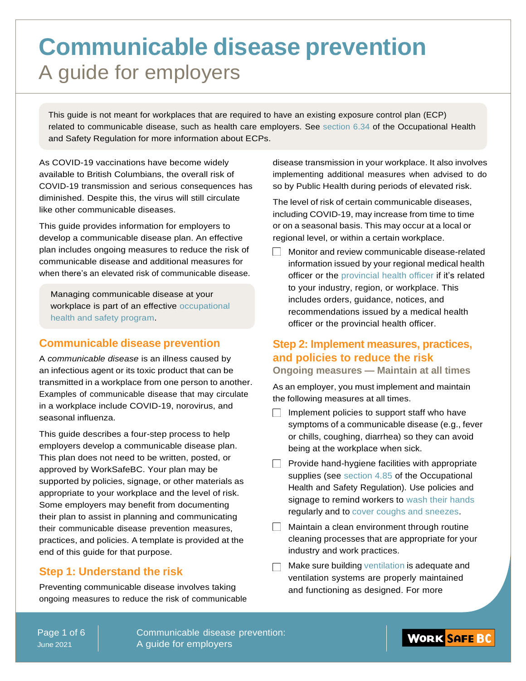## **Communicable disease prevention** A guide for employers

This guide is not meant for workplaces that are required to have an existing exposure control plan (ECP) related to communicable disease, such as health care employers. See section 6.34 of the Occupational Health and Safety Regulation for more information about ECPs.

As COVID-19 vaccinations have become widely available to British Columbians, the overall risk of COVID-19 transmission and serious consequences has diminished. Despite this, the virus will still circulate like other communicable diseases.

This guide provides information for employers to develop a communicable disease plan. An effective plan includes ongoing measures to reduce the risk of communicable disease and additional measures for when there's an elevated risk of communicable disease.

Managing communicable disease at your workplace is part of an effective occupational health and safety program.

### **Communicable disease prevention**

A *communicable disease* is an illness caused by an infectious agent or its toxic product that can be transmitted in a workplace from one person to another. Examples of communicable disease that may circulate in a workplace include COVID-19, norovirus, and seasonal influenza.

This guide describes a four-step process to help employers develop a communicable disease plan. This plan does not need to be written, posted, or approved by WorkSafeBC. Your plan may be supported by policies, signage, or other materials as appropriate to your workplace and the level of risk. Some employers may benefit from documenting their plan to assist in planning and communicating their communicable disease prevention measures, practices, and policies. A template is provided at the end of this guide for that purpose.

## **Step 1: Understand the risk**

Preventing communicable disease involves taking ongoing measures to reduce the risk of communicable disease transmission in your workplace. It also involves implementing additional measures when advised to do so by Public Health during periods of elevated risk.

The level of risk of certain communicable diseases, including COVID-19, may increase from time to time or on a seasonal basis. This may occur at a local or regional level, or within a certain workplace.

Monitor and review communicable disease-related information issued by your regional medical health officer or the provincial health officer if it's related to your industry, region, or workplace. This includes orders, guidance, notices, and recommendations issued by a medical health officer or the provincial health officer.

## **Step 2: Implement measures, practices, and policies to reduce the risk**

### **Ongoing measures — Maintain at all times**

As an employer, you must implement and maintain the following measures at all times.

- $\Box$  Implement policies to support staff who have symptoms of a communicable disease (e.g., fever or chills, coughing, diarrhea) so they can avoid being at the workplace when sick.
- $\Box$  Provide hand-hygiene facilities with appropriate supplies (see section 4.85 of the Occupational Health and Safety Regulation). Use policies and signage to remind workers to wash their hands regularly and to cover coughs and sneezes.
- $\Box$  Maintain a clean environment through routine cleaning processes that are appropriate for your industry and work practices.
- $\Box$  Make sure building ventilation is adequate and ventilation systems are properly maintained and functioning as designed. For more

Page 1 of 6 June 2021

Communicable disease prevention: A guide for employers

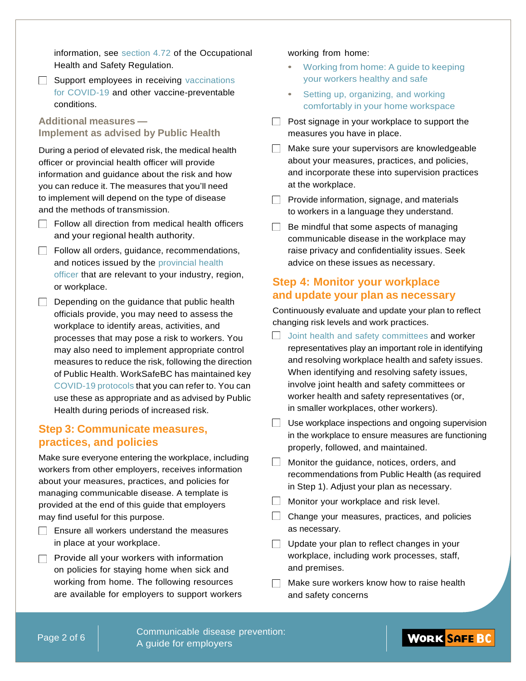information, see section 4.72 of the Occupational Health and Safety Regulation.

 $\Box$  Support employees in receiving vaccinations for COVID-19 and other vaccine-preventable conditions.

**Additional measures — Implement as advised by Public Health**

During a period of elevated risk, the medical health officer or provincial health officer will provide information and guidance about the risk and how you can reduce it. The measures that you'll need to implement will depend on the type of disease and the methods of transmission.

- $\Box$  Follow all direction from medical health officers and your regional health authority.
- Follow all orders, guidance, recommendations, and notices issued by the provincial health officer that are relevant to your industry, region, or workplace.
- $\Box$  Depending on the guidance that public health officials provide, you may need to assess the workplace to identify areas, activities, and processes that may pose a risk to workers. You may also need to implement appropriate control measures to reduce the risk, following the direction of Public Health. WorkSafeBC has maintained key COVID-19 protocols that you can refer to. You can use these as appropriate and as advised by Public Health during periods of increased risk.

### **Step 3: Communicate measures, practices, and policies**

Make sure everyone entering the workplace, including workers from other employers, receives information about your measures, practices, and policies for managing communicable disease. A template is provided at the end of this guide that employers may find useful for this purpose.

- $\Box$  Ensure all workers understand the measures in place at your workplace.
- $\Box$  Provide all your workers with information on policies for staying home when sick and working from home. The following resources are available for employers to support workers

### working from home:

- **•** Working from home: A guide to keeping your workers healthy and safe
- **•** Setting up, organizing, and working comfortably in your home workspace
- $\Box$  Post signage in your workplace to support the measures you have in place.
- Make sure your supervisors are knowledgeable about your measures, practices, and policies, and incorporate these into supervision practices at the workplace.
- $\Box$  Provide information, signage, and materials to workers in a language they understand.
- $\Box$  Be mindful that some aspects of managing communicable disease in the workplace may raise privacy and confidentiality issues. Seek advice on these issues as necessary.

### **Step 4: Monitor your workplace and update your plan as necessary**

Continuously evaluate and update your plan to reflect changing risk levels and work practices.

- $\Box$  Joint health and safety committees and worker representatives play an important role in identifying and resolving workplace health and safety issues. When identifying and resolving safety issues, involve joint health and safety committees or worker health and safety representatives (or, in smaller workplaces, other workers).
- $\Box$  Use workplace inspections and ongoing supervision in the workplace to ensure measures are functioning properly, followed, and maintained.
- **Monitor the guidance, notices, orders, and** recommendations from Public Health (as required in Step 1). Adjust your plan as necessary.
- $\Box$  Monitor your workplace and risk level.
- $\Box$  Change your measures, practices, and policies as necessary.
- $\Box$  Update your plan to reflect changes in your workplace, including work processes, staff, and premises.
- $\Box$  Make sure workers know how to raise health and safety concerns

Communicable disease prevention: A guide for employers

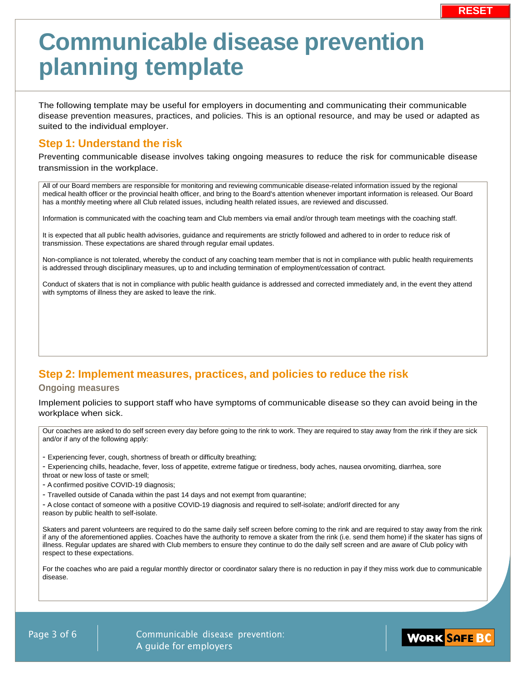# **Communicable disease prevention planning template**

The following template may be useful for employers in documenting and communicating their communicable disease prevention measures, practices, and policies. This is an optional resource, and may be used or adapted as suited to the individual employer.

### **Step 1: Understand the risk**

Preventing communicable disease involves taking ongoing measures to reduce the risk for communicable disease transmission in the workplace.

All of our Board members are responsible for monitoring and reviewing communicable disease-related information issued by the regional medical health officer or the provincial health officer, and bring to the Board's attention whenever important information is released. Our Board has a monthly meeting where all Club related issues, including health related issues, are reviewed and discussed.

Information is communicated with the coaching team and Club members via email and/or through team meetings with the coaching staff.

It is expected that all public health advisories, guidance and requirements are strictly followed and adhered to in order to reduce risk of transmission. These expectations are shared through regular email updates.

Non-compliance is not tolerated, whereby the conduct of any coaching team member that is not in compliance with public health requirements is addressed through disciplinary measures, up to and including termination of employment/cessation of contract.

Conduct of skaters that is not in compliance with public health guidance is addressed and corrected immediately and, in the event they attend with symptoms of illness they are asked to leave the rink.

## **Step 2: Implement measures, practices, and policies to reduce the risk**

### **Ongoing measures**

Implement policies to support staff who have symptoms of communicable disease so they can avoid being in the workplace when sick.

Our coaches are asked to do self screen every day before going to the rink to work. They are required to stay away from the rink if they are sick and/or if any of the following apply:

- Experiencing fever, cough, shortness of breath or difficulty breathing;

- Experiencing chills, headache, fever, loss of appetite, extreme fatigue or tiredness, body aches, nausea orvomiting, diarrhea, sore throat or new loss of taste or smell;

- A confirmed positive COVID-19 diagnosis;

- Travelled outside of Canada within the past 14 days and not exempt from quarantine;

- A close contact of someone with a positive COVID-19 diagnosis and required to self-isolate; and/orIf directed for any

reason by public health to self-isolate.

Skaters and parent volunteers are required to do the same daily self screen before coming to the rink and are required to stay away from the rink if any of the aforementioned applies. Coaches have the authority to remove a skater from the rink (i.e. send them home) if the skater has signs of illness. Regular updates are shared with Club members to ensure they continue to do the daily self screen and are aware of Club policy with respect to these expectations.

For the coaches who are paid a regular monthly director or coordinator salary there is no reduction in pay if they miss work due to communicable disease.

Page 3 of 6 | Communicable disease prevention: A guide for employers

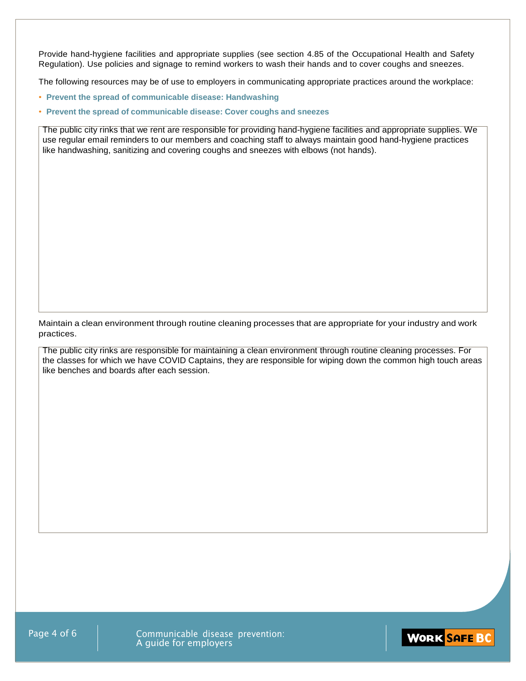Provide hand-hygiene facilities and appropriate supplies (see section 4.85 of the Occupational Health and Safety Regulation). Use policies and signage to remind workers to wash their hands and to cover coughs and sneezes.

The following resources may be of use to employers in communicating appropriate practices around the workplace:

- **Prevent the spread of communicable disease: Handwashing**
- **Prevent the spread of communicable disease: Cover coughs and sneezes**

The public city rinks that we rent are responsible for providing hand-hygiene facilities and appropriate supplies. We use regular email reminders to our members and coaching staff to always maintain good hand-hygiene practices like handwashing, sanitizing and covering coughs and sneezes with elbows (not hands).

Maintain a clean environment through routine cleaning processes that are appropriate for your industry and work practices.

The public city rinks are responsible for maintaining a clean environment through routine cleaning processes. For the classes for which we have COVID Captains, they are responsible for wiping down the common high touch areas like benches and boards after each session.

Page 4 of 6 | Communicable disease prevention: A guide for employers

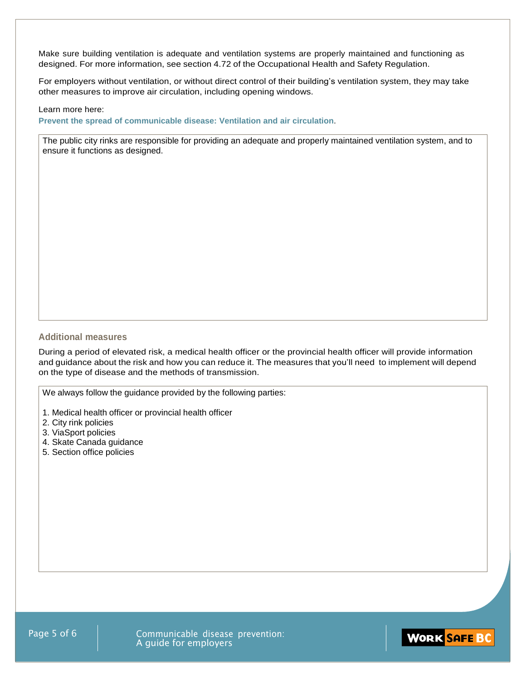Make sure building ventilation is adequate and ventilation systems are properly maintained and functioning as designed. For more information, see section 4.72 of the Occupational Health and Safety Regulation.

For employers without ventilation, or without direct control of their building's ventilation system, they may take other measures to improve air circulation, including opening windows.

#### Learn more here:

**Prevent the spread of communicable disease: Ventilation and air circulation**.

The public city rinks are responsible for providing an adequate and properly maintained ventilation system, and to ensure it functions as designed.

### **Additional measures**

During a period of elevated risk, a medical health officer or the provincial health officer will provide information and guidance about the risk and how you can reduce it. The measures that you'll need to implement will depend on the type of disease and the methods of transmission.

We always follow the guidance provided by the following parties:

- 1. Medical health officer or provincial health officer
- 2. City rink policies
- 3. ViaSport policies
- 4. Skate Canada guidance
- 5. Section office policies